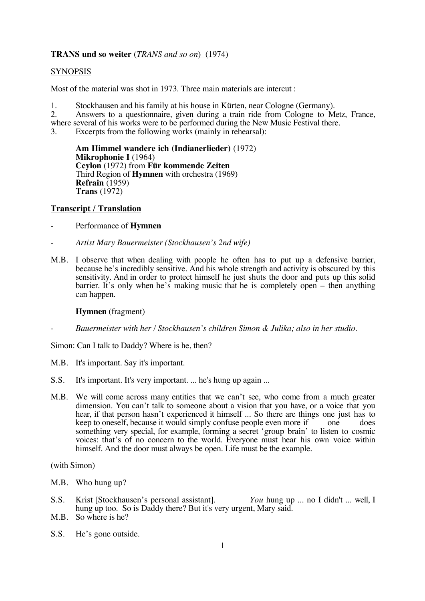# **TRANS und so weiter** (*TRANS and so on*) (1974)

# **SYNOPSIS**

Most of the material was shot in 1973. Three main materials are intercut :

1. Stockhausen and his family at his house in Kürten, near Cologne (Germany).<br>2. Answers to a questionnaire, given during a train ride from Cologne to M

2. Answers to a questionnaire, given during a train ride from Cologne to Metz, France,

where several of his works were to be performed during the New Music Festival there.<br>3. Excerpts from the following works (mainly in rehearsal):

Excerpts from the following works (mainly in rehearsal):

**Am Himmel wandere ich (Indianerlieder)** (1972) **Mikrophonie I** (1964) **Ceylon** (1972) from **Für kommende Zeiten** Third Region of **Hymnen** with orchestra (1969) **Refrain** (1959) **Trans** (1972)

# **Transcript / Translation**

- Performance of **Hymnen**
- *Artist Mary Bauermeister (Stockhausen's 2nd wife)*
- M.B. I observe that when dealing with people he often has to put up a defensive barrier, because he's incredibly sensitive. And his whole strength and activity is obscured by this sensitivity. And in order to protect himself he just shuts the door and puts up this solid barrier. It's only when he's making music that he is completely open – then anything can happen.

#### **Hymnen** (fragment)

- *Bauermeister with her / Stockhausen's children Simon & Julika; also in her studio.*

Simon: Can I talk to Daddy? Where is he, then?

- M.B. It's important. Say it's important.
- S.S. It's important. It's very important. ... he's hung up again ...
- M.B. We will come across many entities that we can't see, who come from a much greater dimension. You can't talk to someone about a vision that you have, or a voice that you hear, if that person hasn't experienced it himself ... So there are things one just has to keep to oneself, because it would simply confuse people even more if one does keep to oneself, because it would simply confuse people even more if one does something very special, for example, forming a secret 'group brain' to listen to cosmic voices: that's of no concern to the world. Everyone must hear his own voice within himself. And the door must always be open. Life must be the example.

(with Simon)

- M.B. Who hung up?
- S.S. Krist [Stockhausen's personal assistant]. *You* hung up ... no I didn't ... well, I hung up too. So is Daddy there? But it's very urgent, Mary said.
- M.B. So where is he?
- S.S. He's gone outside.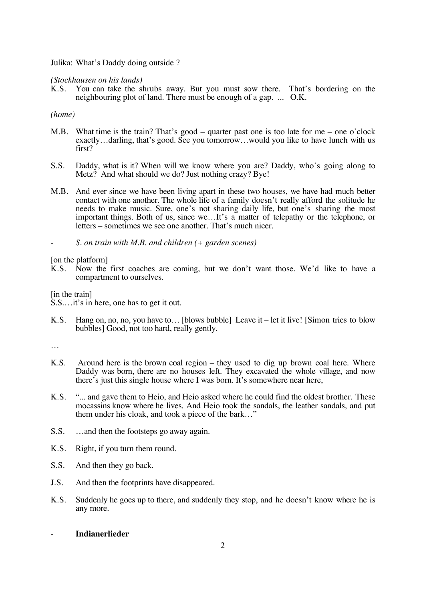Julika: What's Daddy doing outside ?

#### *(Stockhausen on his lands)*

K.S. You can take the shrubs away. But you must sow there. That's bordering on the neighbouring plot of land. There must be enough of a gap. ... O.K.

# *(home)*

- M.B. What time is the train? That's good quarter past one is too late for me one o'clock exactly…darling, that's good. See you tomorrow…would you like to have lunch with us first?
- S.S. Daddy, what is it? When will we know where you are? Daddy, who's going along to Metz? And what should we do? Just nothing crazy? Bye!
- M.B. And ever since we have been living apart in these two houses, we have had much better contact with one another. The whole life of a family doesn't really afford the solitude he needs to make music. Sure, one's not sharing daily life, but one's sharing the most important things. Both of us, since we…It's a matter of telepathy or the telephone, or letters – sometimes we see one another. That's much nicer.
- *S. on train with M.B. and children (+ garden scenes)*

# [on the platform]<br>K.S. Now the

Now the first coaches are coming, but we don't want those. We'd like to have a compartment to ourselves.

[in the train]

S.S.…it's in here, one has to get it out.

K.S. Hang on, no, no, you have to… [blows bubble] Leave it – let it live! [Simon tries to blow bubbles] Good, not too hard, really gently.

…

- K.S. Around here is the brown coal region they used to dig up brown coal here. Where Daddy was born, there are no houses left. They excavated the whole village, and now there's just this single house where I was born. It's somewhere near here,
- K.S. "... and gave them to Heio, and Heio asked where he could find the oldest brother. These mocassins know where he lives. And Heio took the sandals, the leather sandals, and put them under his cloak, and took a piece of the bark…"
- S.S. …and then the footsteps go away again.
- K.S. Right, if you turn them round.
- S.S. And then they go back.
- J.S. And then the footprints have disappeared.
- K.S. Suddenly he goes up to there, and suddenly they stop, and he doesn't know where he is any more.

## - **Indianerlieder**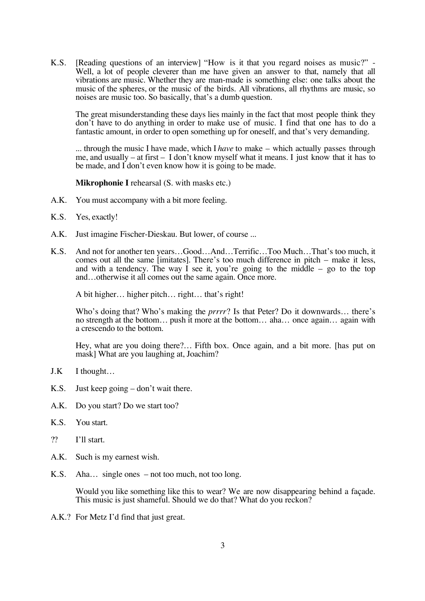K.S. [Reading questions of an interview] "How is it that you regard noises as music?" - Well, a lot of people cleverer than me have given an answer to that, namely that all vibrations are music. Whether they are man-made is something else: one talks about the music of the spheres, or the music of the birds. All vibrations, all rhythms are music, so noises are music too. So basically, that's a dumb question.

The great misunderstanding these days lies mainly in the fact that most people think they don't have to do anything in order to make use of music. I find that one has to do a fantastic amount, in order to open something up for oneself, and that's very demanding.

... through the music I have made, which I *have* to make – which actually passes through me, and usually – at first – I don't know myself what it means. I just know that it has to be made, and I don't even know how it is going to be made.

**Mikrophonie I** rehearsal (S. with masks etc.)

- A.K. You must accompany with a bit more feeling.
- K.S. Yes, exactly!
- A.K. Just imagine Fischer-Dieskau. But lower, of course ...
- K.S. And not for another ten years…Good…And…Terrific…Too Much…That's too much, it comes out all the same [imitates]. There's too much difference in pitch – make it less, and with a tendency. The way I see it, you're going to the middle  $-$  go to the top and…otherwise it all comes out the same again. Once more.

A bit higher… higher pitch… right… that's right!

Who's doing that? Who's making the *prrrr*? Is that Peter? Do it downwards… there's no strength at the bottom… push it more at the bottom… aha… once again… again with a crescendo to the bottom.

Hey, what are you doing there?… Fifth box. Once again, and a bit more. [has put on mask] What are you laughing at, Joachim?

- J.K I thought…
- K.S. Just keep going don't wait there.
- A.K. Do you start? Do we start too?
- K.S. You start.
- ?? I'll start.
- A.K. Such is my earnest wish.
- K.S. Aha… single ones not too much, not too long.

Would you like something like this to wear? We are now disappearing behind a façade. This music is just shameful. Should we do that? What do you reckon?

A.K.? For Metz I'd find that just great.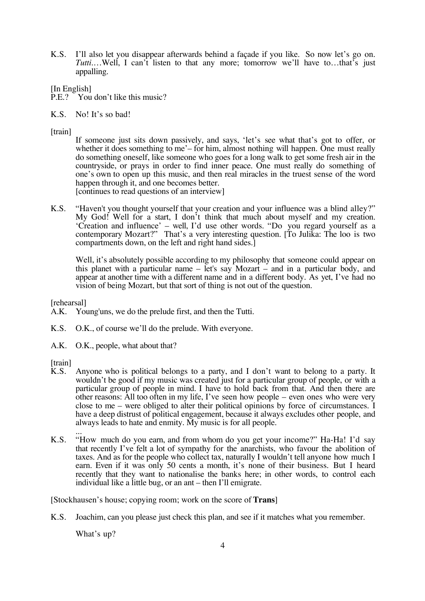K.S. I'll also let you disappear afterwards behind a façade if you like. So now let's go on. *Tutti*....Well, I can't listen to that any more; tomorrow we'll have to...that's just appalling.

[In English]

- P.E.? You don't like this music?
- K.S. No! It's so bad!

[train]

If someone just sits down passively, and says, 'let's see what that's got to offer, or whether it does something to me'– for him, almost nothing will happen. One must really do something oneself, like someone who goes for a long walk to get some fresh air in the countryside, or prays in order to find inner peace. One must really do something of one's own to open up this music, and then real miracles in the truest sense of the word happen through it, and one becomes better. [continues to read questions of an interview]

K.S. "Haven't you thought yourself that your creation and your influence was a blind alley?" My God! Well for a start, I don't think that much about myself and my creation. 'Creation and influence' – well, I'd use other words. "Do you regard yourself as a contemporary Mozart?" That's a very interesting question. [To Julika: The loo is two compartments down, on the left and right hand sides.]

Well, it's absolutely possible according to my philosophy that someone could appear on this planet with a particular name – let's say Mozart – and in a particular body, and appear at another time with a different name and in a different body. As yet, I've had no vision of being Mozart, but that sort of thing is not out of the question.

[rehearsal]

- A.K. Young'uns, we do the prelude first, and then the Tutti.
- K.S. O.K., of course we'll do the prelude. With everyone.
- A.K. O.K., people, what about that?

- [train]<br>K.S. Anyone who is political belongs to a party, and I don't want to belong to a party. It wouldn't be good if my music was created just for a particular group of people, or with a particular group of people in mind. I have to hold back from that. And then there are other reasons: All too often in my life, I've seen how people – even ones who were very close to me – were obliged to alter their political opinions by force of circumstances. I have a deep distrust of political engagement, because it always excludes other people, and always leads to hate and enmity. My music is for all people.
- K.S. "How much do you earn, and from whom do you get your income?" Ha-Ha! I'd say that recently I've felt a lot of sympathy for the anarchists, who favour the abolition of taxes. And as for the people who collect tax, naturally I wouldn't tell anyone how much I earn. Even if it was only 50 cents a month, it's none of their business. But I heard recently that they want to nationalise the banks here; in other words, to control each individual like a little bug, or an ant – then I'll emigrate.

[Stockhausen's house; copying room; work on the score of **Trans**]

K.S. Joachim, can you please just check this plan, and see if it matches what you remember.

What's up?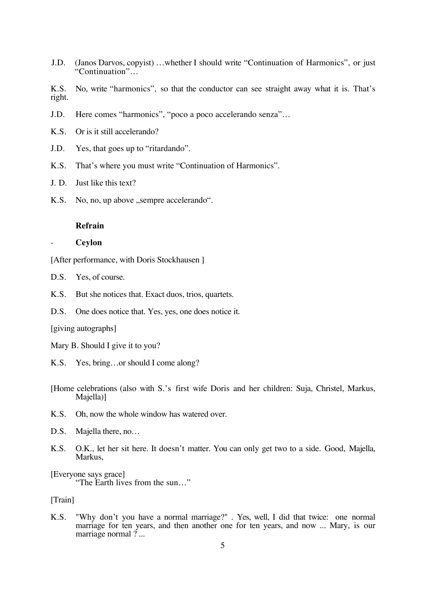J.D. (Janos Darvos, copyist) …whether I should write "Continuation of Harmonics", or just "Continuation"…

K.S. No, write "harmonics", so that the conductor can see straight away what it is. That's right.

- J.D. Here comes "harmonics", "poco a poco accelerando senza"…
- K.S. Or is it still accelerando?
- J.D. Yes, that goes up to "ritardando".
- K.S. That's where you must write "Continuation of Harmonics".
- J. D. Just like this text?
- K.S. No, no, up above , sempre accelerando".

#### **Refrain**

#### - **Ceylon**

[After performance, with Doris Stockhausen ]

- D.S. Yes, of course.
- K.S. But she notices that. Exact duos, trios, quartets.
- D.S. One does notice that. Yes, yes, one does notice it.

[giving autographs]

- Mary B. Should I give it to you?
- K.S. Yes, bring…or should I come along?
- [Home celebrations (also with S.'s first wife Doris and her children: Suja, Christel, Markus, Majella)]
- K.S. Oh, now the whole window has watered over.
- D.S. Majella there, no...
- K.S. O.K., let her sit here. It doesn't matter. You can only get two to a side. Good, Majella, Markus,

[Everyone says grace]

"The Earth lives from the sun…"

[Train]

K.S. "Why don't you have a normal marriage?" . Yes, well, I did that twice: one normal marriage for ten years, and then another one for ten years, and now ... Mary, is our marriage normal ? ...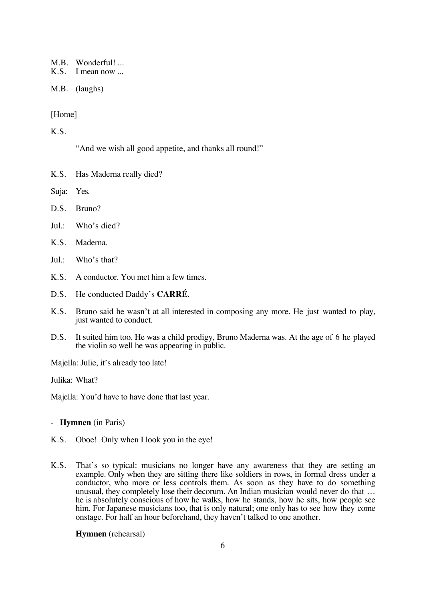M.B. Wonderful! ...<br>K.S. I mean now ...

I mean now ...

M.B. (laughs)

# [Home]

K.S.

"And we wish all good appetite, and thanks all round!"

- K.S. Has Maderna really died?
- Suja: Yes.
- D.S. Bruno?
- Jul.: Who's died?
- K.S. Maderna.
- Jul.: Who's that?
- K.S. A conductor. You met him a few times.
- D.S. He conducted Daddy's **CARRÉ**.
- K.S. Bruno said he wasn't at all interested in composing any more. He just wanted to play, just wanted to conduct.
- D.S. It suited him too. He was a child prodigy, Bruno Maderna was. At the age of 6 he played the violin so well he was appearing in public.

Majella: Julie, it's already too late!

Julika: What?

Majella: You'd have to have done that last year.

# - **Hymnen** (in Paris)

- K.S. Oboe! Only when I look you in the eye!
- K.S. That's so typical: musicians no longer have any awareness that they are setting an example. Only when they are sitting there like soldiers in rows, in formal dress under a conductor, who more or less controls them. As soon as they have to do something unusual, they completely lose their decorum. An Indian musician would never do that … he is absolutely conscious of how he walks, how he stands, how he sits, how people see him. For Japanese musicians too, that is only natural; one only has to see how they come onstage. For half an hour beforehand, they haven't talked to one another.

**Hymnen** (rehearsal)